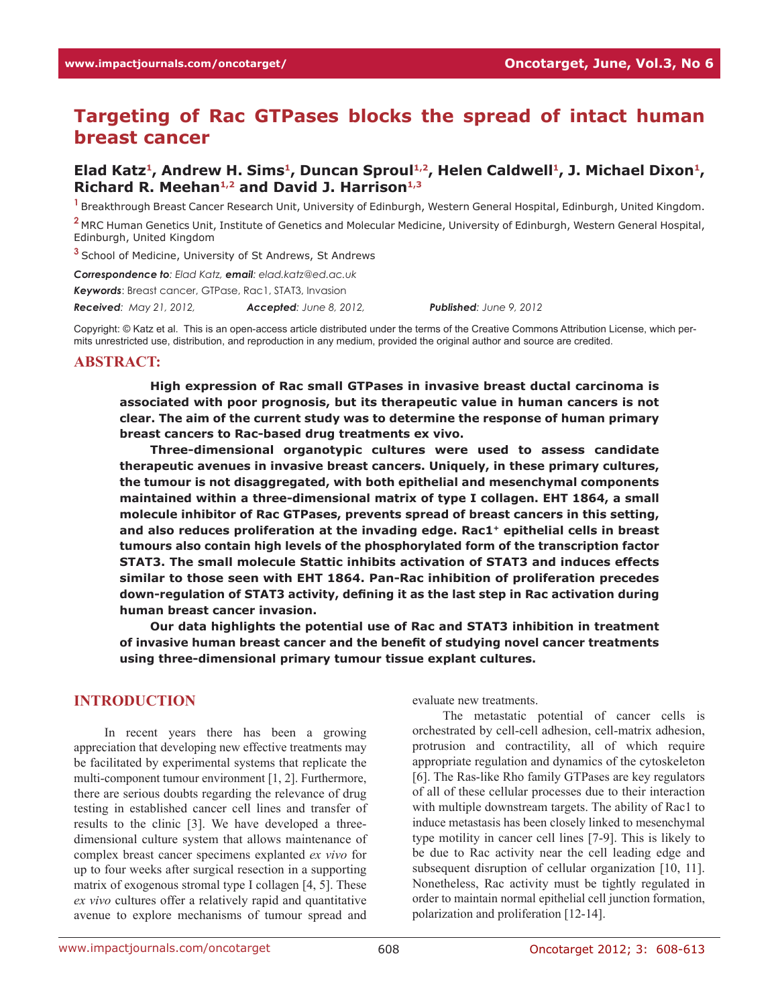# **Targeting of Rac GTPases blocks the spread of intact human breast cancer**

# Elad Katz<sup>1</sup>, Andrew H. Sims<sup>1</sup>, Duncan Sproul<sup>1,2</sup>, Helen Caldwell<sup>1</sup>, J. Michael Dixon<sup>1</sup>, Richard R. Meehan<sup>1,2</sup> and David J. Harrison<sup>1,3</sup>

**<sup>1</sup>**Breakthrough Breast Cancer Research Unit, University of Edinburgh, Western General Hospital, Edinburgh, United Kingdom. **<sup>2</sup>**MRC Human Genetics Unit, Institute of Genetics and Molecular Medicine, University of Edinburgh, Western General Hospital, Edinburgh, United Kingdom

**<sup>3</sup>**School of Medicine, University of St Andrews, St Andrews

*Correspondence to: Elad Katz, email: elad.katz@ed.ac.uk Keywords*: Breast cancer, GTPase, Rac1, STAT3, Invasion

*Received: May 21, 2012, Accepted: June 8, 2012, Published: June 9, 2012*

Copyright: © Katz et al. This is an open-access article distributed under the terms of the Creative Commons Attribution License, which permits unrestricted use, distribution, and reproduction in any medium, provided the original author and source are credited.

### **ABSTRACT:**

**High expression of Rac small GTPases in invasive breast ductal carcinoma is associated with poor prognosis, but its therapeutic value in human cancers is not clear. The aim of the current study was to determine the response of human primary breast cancers to Rac-based drug treatments ex vivo.**

**Three-dimensional organotypic cultures were used to assess candidate therapeutic avenues in invasive breast cancers. Uniquely, in these primary cultures, the tumour is not disaggregated, with both epithelial and mesenchymal components maintained within a three-dimensional matrix of type I collagen. EHT 1864, a small molecule inhibitor of Rac GTPases, prevents spread of breast cancers in this setting,**  and also reduces proliferation at the invading edge. Rac1<sup>+</sup> epithelial cells in breast **tumours also contain high levels of the phosphorylated form of the transcription factor STAT3. The small molecule Stattic inhibits activation of STAT3 and induces effects similar to those seen with EHT 1864. Pan-Rac inhibition of proliferation precedes down-regulation of STAT3 activity, defining it as the last step in Rac activation during human breast cancer invasion.** 

**Our data highlights the potential use of Rac and STAT3 inhibition in treatment of invasive human breast cancer and the benefit of studying novel cancer treatments using three-dimensional primary tumour tissue explant cultures.**

# **INTRODUCTION**

In recent years there has been a growing appreciation that developing new effective treatments may be facilitated by experimental systems that replicate the multi-component tumour environment [1, 2]. Furthermore, there are serious doubts regarding the relevance of drug testing in established cancer cell lines and transfer of results to the clinic [3]. We have developed a threedimensional culture system that allows maintenance of complex breast cancer specimens explanted *ex vivo* for up to four weeks after surgical resection in a supporting matrix of exogenous stromal type I collagen [4, 5]. These *ex vivo* cultures offer a relatively rapid and quantitative avenue to explore mechanisms of tumour spread and

evaluate new treatments.

The metastatic potential of cancer cells is orchestrated by cell-cell adhesion, cell-matrix adhesion, protrusion and contractility, all of which require appropriate regulation and dynamics of the cytoskeleton [6]. The Ras-like Rho family GTPases are key regulators of all of these cellular processes due to their interaction with multiple downstream targets. The ability of Rac1 to induce metastasis has been closely linked to mesenchymal type motility in cancer cell lines [7-9]. This is likely to be due to Rac activity near the cell leading edge and subsequent disruption of cellular organization [10, 11]. Nonetheless, Rac activity must be tightly regulated in order to maintain normal epithelial cell junction formation, polarization and proliferation [12-14].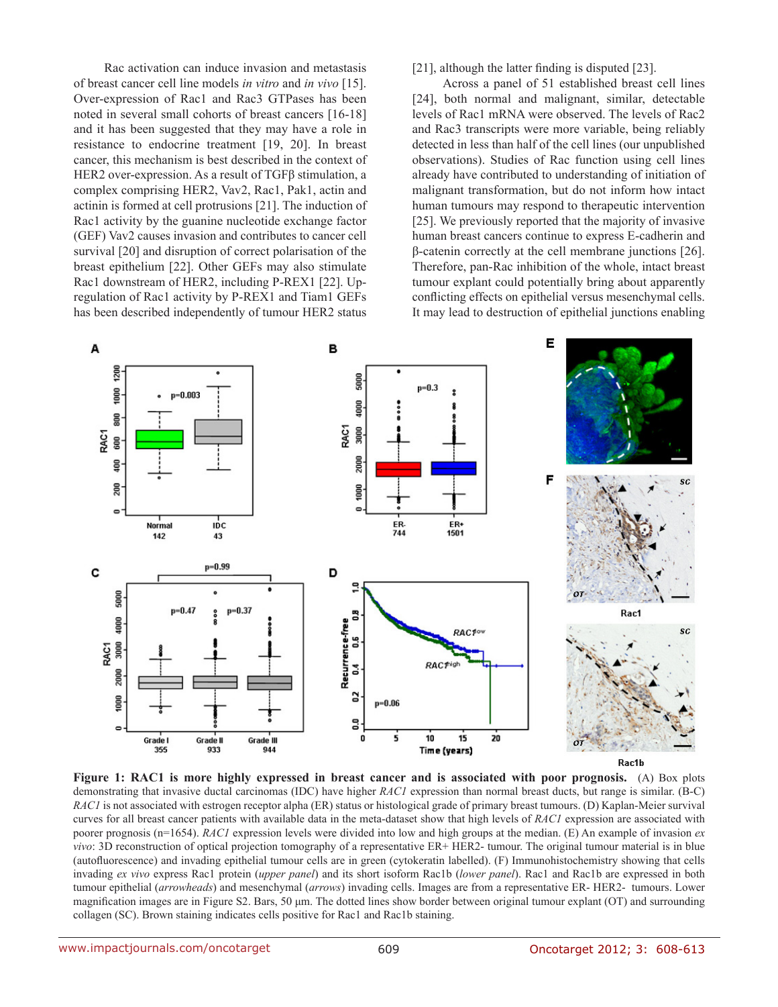Rac activation can induce invasion and metastasis of breast cancer cell line models *in vitro* and *in vivo* [15]. Over-expression of Rac1 and Rac3 GTPases has been noted in several small cohorts of breast cancers [16-18] and it has been suggested that they may have a role in resistance to endocrine treatment [19, 20]. In breast cancer, this mechanism is best described in the context of HER2 over-expression. As a result of TGFβ stimulation, a complex comprising HER2, Vav2, Rac1, Pak1, actin and actinin is formed at cell protrusions [21]. The induction of Rac1 activity by the guanine nucleotide exchange factor (GEF) Vav2 causes invasion and contributes to cancer cell survival [20] and disruption of correct polarisation of the breast epithelium [22]. Other GEFs may also stimulate Rac1 downstream of HER2, including P-REX1 [22]. Upregulation of Rac1 activity by P-REX1 and Tiam1 GEFs has been described independently of tumour HER2 status

[21], although the latter finding is disputed [23].

Across a panel of 51 established breast cell lines [24], both normal and malignant, similar, detectable levels of Rac1 mRNA were observed. The levels of Rac2 and Rac3 transcripts were more variable, being reliably detected in less than half of the cell lines (our unpublished observations). Studies of Rac function using cell lines already have contributed to understanding of initiation of malignant transformation, but do not inform how intact human tumours may respond to therapeutic intervention [25]. We previously reported that the majority of invasive human breast cancers continue to express E-cadherin and β-catenin correctly at the cell membrane junctions [26]. Therefore, pan-Rac inhibition of the whole, intact breast tumour explant could potentially bring about apparently conflicting effects on epithelial versus mesenchymal cells. It may lead to destruction of epithelial junctions enabling



**Figure 1: RAC1 is more highly expressed in breast cancer and is associated with poor prognosis.** (A) Box plots demonstrating that invasive ductal carcinomas (IDC) have higher *RAC1* expression than normal breast ducts, but range is similar. (B-C) *RAC1* is not associated with estrogen receptor alpha (ER) status or histological grade of primary breast tumours. (D) Kaplan-Meier survival curves for all breast cancer patients with available data in the meta-dataset show that high levels of *RAC1* expression are associated with poorer prognosis (n=1654). *RAC1* expression levels were divided into low and high groups at the median. (E) An example of invasion *ex vivo*: 3D reconstruction of optical projection tomography of a representative ER+ HER2- tumour. The original tumour material is in blue (autofluorescence) and invading epithelial tumour cells are in green (cytokeratin labelled). (F) Immunohistochemistry showing that cells invading *ex vivo* express Rac1 protein (*upper panel*) and its short isoform Rac1b (*lower panel*). Rac1 and Rac1b are expressed in both tumour epithelial (*arrowheads*) and mesenchymal (*arrows*) invading cells. Images are from a representative ER- HER2- tumours. Lower magnification images are in Figure S2. Bars, 50 μm. The dotted lines show border between original tumour explant (OT) and surrounding collagen (SC). Brown staining indicates cells positive for Rac1 and Rac1b staining.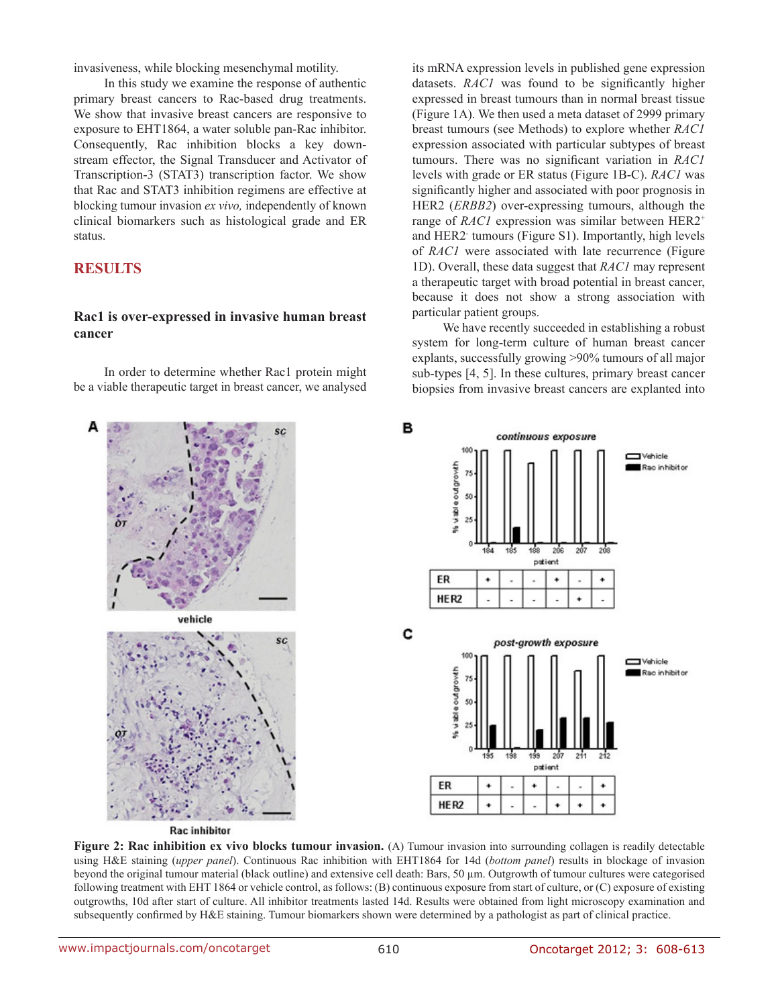invasiveness, while blocking mesenchymal motility.

In this study we examine the response of authentic primary breast cancers to Rac-based drug treatments. We show that invasive breast cancers are responsive to exposure to EHT1864, a water soluble pan-Rac inhibitor. Consequently, Rac inhibition blocks a key downstream effector, the Signal Transducer and Activator of Transcription-3 (STAT3) transcription factor. We show that Rac and STAT3 inhibition regimens are effective at blocking tumour invasion *ex vivo,* independently of known clinical biomarkers such as histological grade and ER status.

### **RESULTS**

### **Rac1 is over-expressed in invasive human breast cancer**

In order to determine whether Rac1 protein might be a viable therapeutic target in breast cancer, we analysed its mRNA expression levels in published gene expression datasets. *RAC1* was found to be significantly higher expressed in breast tumours than in normal breast tissue (Figure 1A). We then used a meta dataset of 2999 primary breast tumours (see Methods) to explore whether *RAC1*  expression associated with particular subtypes of breast tumours. There was no significant variation in *RAC1* levels with grade or ER status (Figure 1B-C). *RAC1* was significantly higher and associated with poor prognosis in HER2 (*ERBB2*) over-expressing tumours, although the range of *RAC1* expression was similar between HER2+ and HER2- tumours (Figure S1). Importantly, high levels of *RAC1* were associated with late recurrence (Figure 1D). Overall, these data suggest that *RAC1* may represent a therapeutic target with broad potential in breast cancer, because it does not show a strong association with particular patient groups.

We have recently succeeded in establishing a robust system for long-term culture of human breast cancer explants, successfully growing >90% tumours of all major sub-types [4, 5]. In these cultures, primary breast cancer biopsies from invasive breast cancers are explanted into





**Figure 2: Rac inhibition ex vivo blocks tumour invasion.** (A) Tumour invasion into surrounding collagen is readily detectable using H&E staining (*upper panel*). Continuous Rac inhibition with EHT1864 for 14d (*bottom panel*) results in blockage of invasion beyond the original tumour material (black outline) and extensive cell death: Bars, 50 µm. Outgrowth of tumour cultures were categorised following treatment with EHT 1864 or vehicle control, as follows: (B) continuous exposure from start of culture, or (C) exposure of existing outgrowths, 10d after start of culture. All inhibitor treatments lasted 14d. Results were obtained from light microscopy examination and subsequently confirmed by H&E staining. Tumour biomarkers shown were determined by a pathologist as part of clinical practice.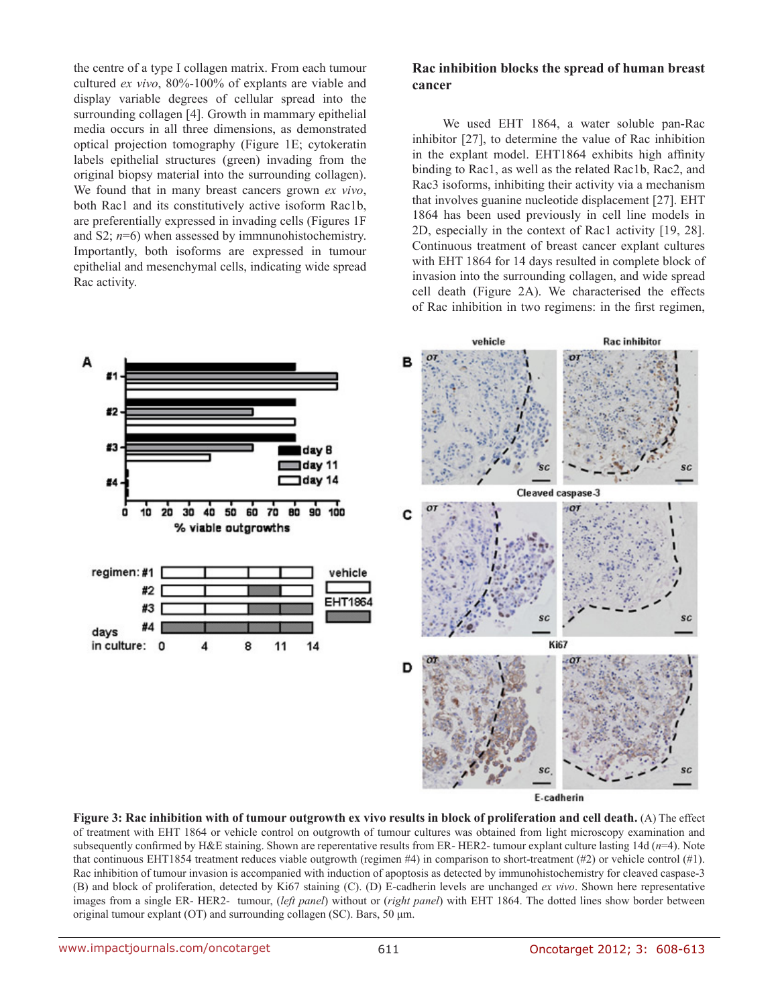the centre of a type I collagen matrix. From each tumour cultured *ex vivo*, 80%-100% of explants are viable and display variable degrees of cellular spread into the surrounding collagen [4]. Growth in mammary epithelial media occurs in all three dimensions, as demonstrated optical projection tomography (Figure 1E; cytokeratin labels epithelial structures (green) invading from the original biopsy material into the surrounding collagen). We found that in many breast cancers grown *ex vivo*, both Rac1 and its constitutively active isoform Rac1b, are preferentially expressed in invading cells (Figures 1F and S2; *n*=6) when assessed by immnunohistochemistry. Importantly, both isoforms are expressed in tumour epithelial and mesenchymal cells, indicating wide spread Rac activity.



E-cadherin

**Rac inhibition blocks the spread of human breast** 

We used EHT 1864, a water soluble pan-Rac inhibitor [27], to determine the value of Rac inhibition in the explant model. EHT1864 exhibits high affinity binding to Rac1, as well as the related Rac1b, Rac2, and Rac3 isoforms, inhibiting their activity via a mechanism that involves guanine nucleotide displacement [27]. EHT 1864 has been used previously in cell line models in 2D, especially in the context of Rac1 activity [19, 28]. Continuous treatment of breast cancer explant cultures with EHT 1864 for 14 days resulted in complete block of invasion into the surrounding collagen, and wide spread cell death (Figure 2A). We characterised the effects of Rac inhibition in two regimens: in the first regimen,

**cancer** 

**Figure 3: Rac inhibition with of tumour outgrowth ex vivo results in block of proliferation and cell death.** (A) The effect of treatment with EHT 1864 or vehicle control on outgrowth of tumour cultures was obtained from light microscopy examination and subsequently confirmed by H&E staining. Shown are reperentative results from ER- HER2- tumour explant culture lasting 14d (*n*=4). Note that continuous EHT1854 treatment reduces viable outgrowth (regimen #4) in comparison to short-treatment (#2) or vehicle control (#1). Rac inhibition of tumour invasion is accompanied with induction of apoptosis as detected by immunohistochemistry for cleaved caspase-3 (B) and block of proliferation, detected by Ki67 staining (C). (D) E-cadherin levels are unchanged *ex vivo*. Shown here representative images from a single ER- HER2- tumour, (*left panel*) without or (*right panel*) with EHT 1864. The dotted lines show border between original tumour explant (OT) and surrounding collagen (SC). Bars, 50 μm.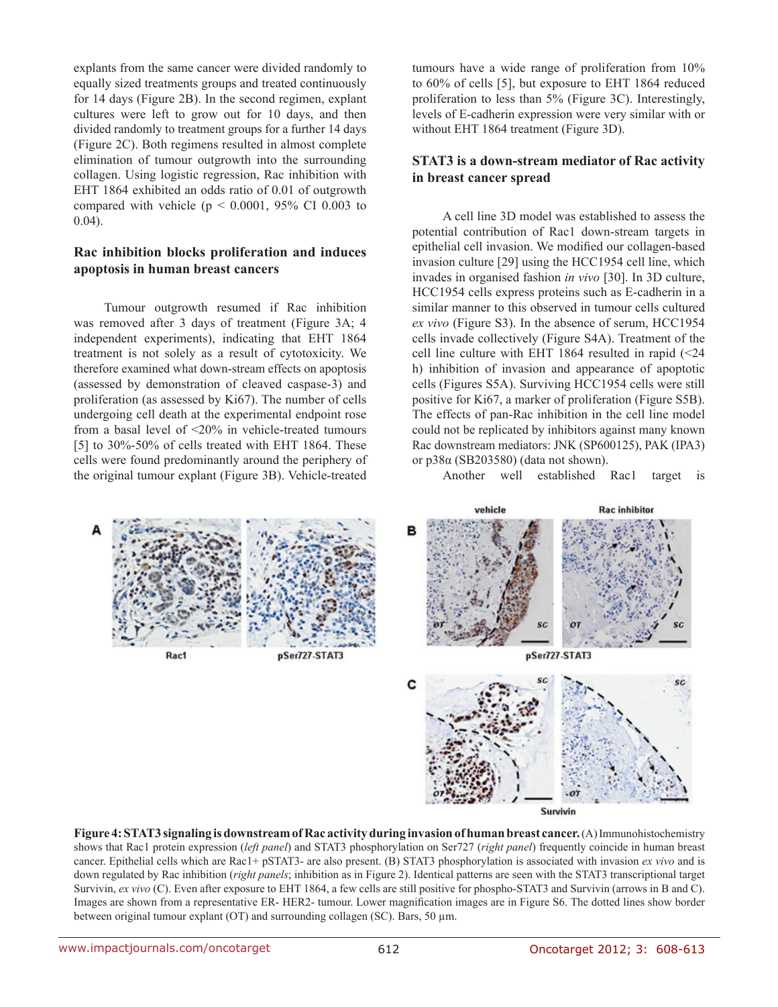explants from the same cancer were divided randomly to equally sized treatments groups and treated continuously for 14 days (Figure 2B). In the second regimen, explant cultures were left to grow out for 10 days, and then divided randomly to treatment groups for a further 14 days (Figure 2C). Both regimens resulted in almost complete elimination of tumour outgrowth into the surrounding collagen. Using logistic regression, Rac inhibition with EHT 1864 exhibited an odds ratio of 0.01 of outgrowth compared with vehicle ( $p < 0.0001$ , 95% CI 0.003 to 0.04).

## **Rac inhibition blocks proliferation and induces apoptosis in human breast cancers**

Tumour outgrowth resumed if Rac inhibition was removed after 3 days of treatment (Figure 3A; 4 independent experiments), indicating that EHT 1864 treatment is not solely as a result of cytotoxicity. We therefore examined what down-stream effects on apoptosis (assessed by demonstration of cleaved caspase-3) and proliferation (as assessed by Ki67). The number of cells undergoing cell death at the experimental endpoint rose from a basal level of <20% in vehicle-treated tumours [5] to 30%-50% of cells treated with EHT 1864. These cells were found predominantly around the periphery of the original tumour explant (Figure 3B). Vehicle-treated

tumours have a wide range of proliferation from 10% to 60% of cells [5], but exposure to EHT 1864 reduced proliferation to less than 5% (Figure 3C). Interestingly, levels of E-cadherin expression were very similar with or without EHT 1864 treatment (Figure 3D).

# **STAT3 is a down-stream mediator of Rac activity in breast cancer spread**

A cell line 3D model was established to assess the potential contribution of Rac1 down-stream targets in epithelial cell invasion. We modified our collagen-based invasion culture [29] using the HCC1954 cell line, which invades in organised fashion *in vivo* [30]. In 3D culture, HCC1954 cells express proteins such as E-cadherin in a similar manner to this observed in tumour cells cultured *ex vivo* (Figure S3). In the absence of serum, HCC1954 cells invade collectively (Figure S4A). Treatment of the cell line culture with EHT 1864 resulted in rapid (<24 h) inhibition of invasion and appearance of apoptotic cells (Figures S5A). Surviving HCC1954 cells were still positive for Ki67, a marker of proliferation (Figure S5B). The effects of pan-Rac inhibition in the cell line model could not be replicated by inhibitors against many known Rac downstream mediators: JNK (SP600125), PAK (IPA3) or p38α (SB203580) (data not shown).

Rac1 pSer727-STAT3 Another well established Rac1 target is

![](_page_4_Figure_8.jpeg)

Survivin

**Figure 4: STAT3 signaling is downstream of Rac activity during invasion of human breast cancer.** (A) Immunohistochemistry shows that Rac1 protein expression (*left panel*) and STAT3 phosphorylation on Ser727 (*right panel*) frequently coincide in human breast cancer. Epithelial cells which are Rac1+ pSTAT3- are also present. (B) STAT3 phosphorylation is associated with invasion *ex vivo* and is down regulated by Rac inhibition (*right panels*; inhibition as in Figure 2). Identical patterns are seen with the STAT3 transcriptional target Survivin, *ex vivo* (C). Even after exposure to EHT 1864, a few cells are still positive for phospho-STAT3 and Survivin (arrows in B and C). Images are shown from a representative ER- HER2- tumour. Lower magnification images are in Figure S6. The dotted lines show border between original tumour explant (OT) and surrounding collagen (SC). Bars, 50 µm.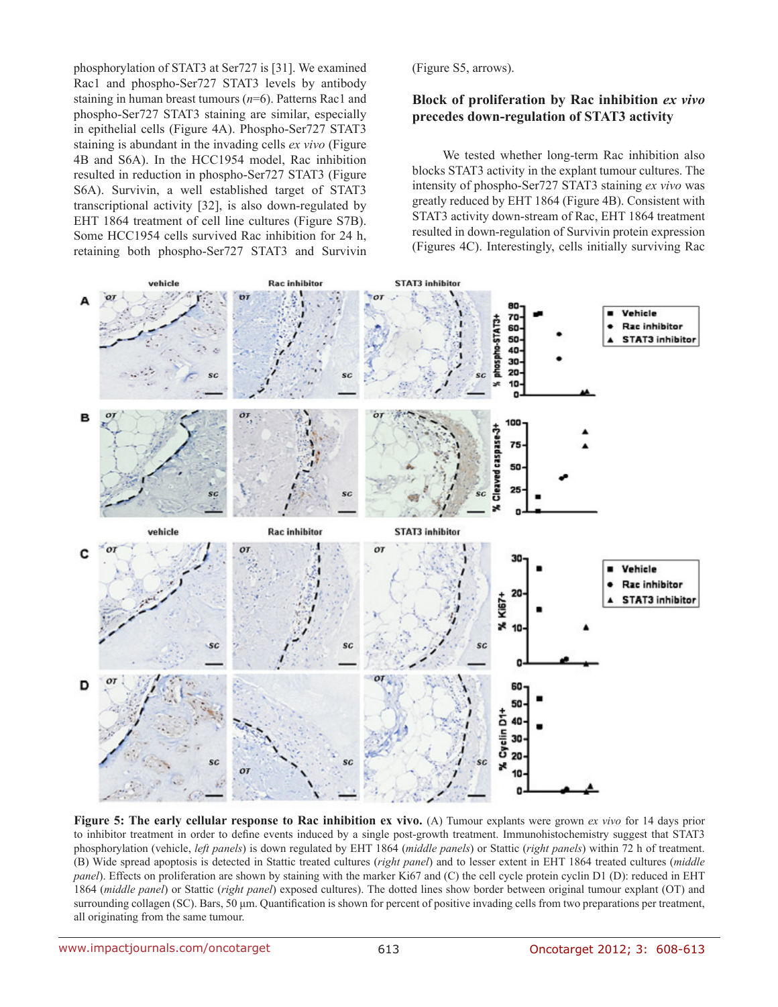phosphorylation of STAT3 at Ser727 is [31]. We examined Rac1 and phospho-Ser727 STAT3 levels by antibody staining in human breast tumours (*n*=6). Patterns Rac1 and phospho-Ser727 STAT3 staining are similar, especially in epithelial cells (Figure 4A). Phospho-Ser727 STAT3 staining is abundant in the invading cells *ex vivo* (Figure 4B and S6A). In the HCC1954 model, Rac inhibition resulted in reduction in phospho-Ser727 STAT3 (Figure S6A). Survivin, a well established target of STAT3 transcriptional activity [32], is also down-regulated by EHT 1864 treatment of cell line cultures (Figure S7B). Some HCC1954 cells survived Rac inhibition for 24 h, retaining both phospho-Ser727 STAT3 and Survivin (Figure S5, arrows).

### **Block of proliferation by Rac inhibition** *ex vivo* **precedes down-regulation of STAT3 activity**

We tested whether long-term Rac inhibition also blocks STAT3 activity in the explant tumour cultures. The intensity of phospho-Ser727 STAT3 staining *ex vivo* was greatly reduced by EHT 1864 (Figure 4B). Consistent with STAT3 activity down-stream of Rac, EHT 1864 treatment resulted in down-regulation of Survivin protein expression (Figures 4C). Interestingly, cells initially surviving Rac

![](_page_5_Figure_4.jpeg)

**Figure 5: The early cellular response to Rac inhibition ex vivo.** (A) Tumour explants were grown *ex vivo* for 14 days prior to inhibitor treatment in order to define events induced by a single post-growth treatment. Immunohistochemistry suggest that STAT3 phosphorylation (vehicle, *left panels*) is down regulated by EHT 1864 (*middle panels*) or Stattic (*right panels*) within 72 h of treatment. (B) Wide spread apoptosis is detected in Stattic treated cultures (*right panel*) and to lesser extent in EHT 1864 treated cultures (*middle panel*). Effects on proliferation are shown by staining with the marker Ki67 and (C) the cell cycle protein cyclin D1 (D): reduced in EHT 1864 (*middle panel*) or Stattic (*right panel*) exposed cultures). The dotted lines show border between original tumour explant (OT) and surrounding collagen (SC). Bars, 50 μm. Quantification is shown for percent of positive invading cells from two preparations per treatment, all originating from the same tumour.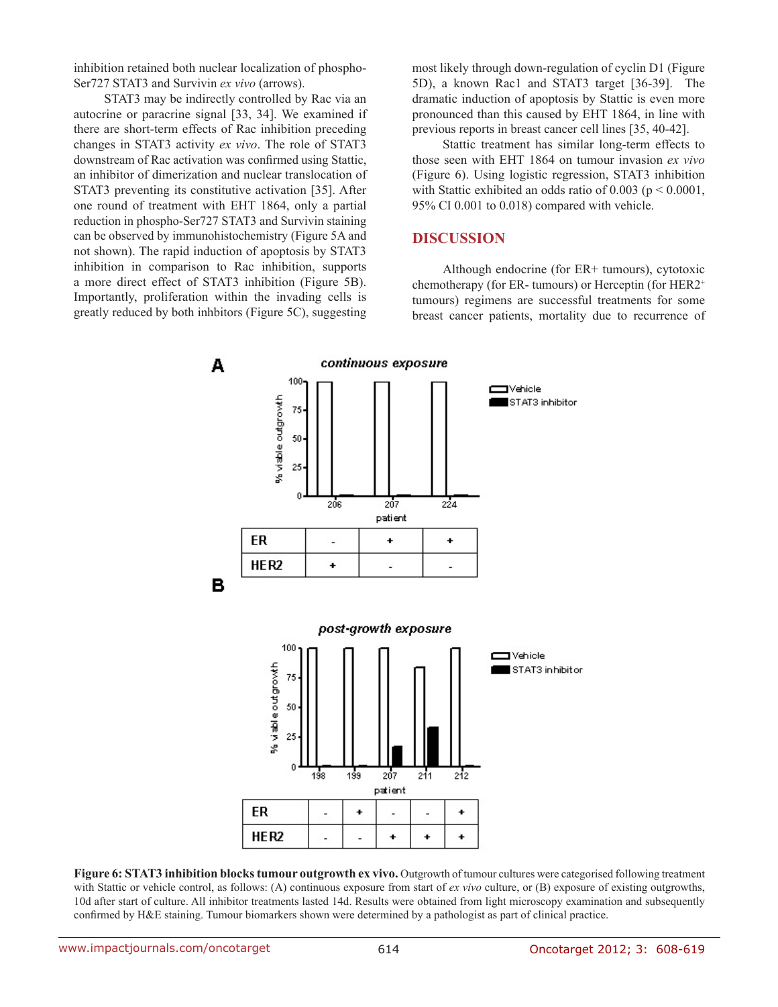inhibition retained both nuclear localization of phospho-Ser727 STAT3 and Survivin *ex vivo* (arrows).

STAT3 may be indirectly controlled by Rac via an autocrine or paracrine signal [33, 34]. We examined if there are short-term effects of Rac inhibition preceding changes in STAT3 activity *ex vivo*. The role of STAT3 downstream of Rac activation was confirmed using Stattic, an inhibitor of dimerization and nuclear translocation of STAT3 preventing its constitutive activation [35]. After one round of treatment with EHT 1864, only a partial reduction in phospho-Ser727 STAT3 and Survivin staining can be observed by immunohistochemistry (Figure 5A and not shown). The rapid induction of apoptosis by STAT3 inhibition in comparison to Rac inhibition, supports a more direct effect of STAT3 inhibition (Figure 5B). Importantly, proliferation within the invading cells is greatly reduced by both inhbitors (Figure 5C), suggesting

most likely through down-regulation of cyclin D1 (Figure 5D), a known Rac1 and STAT3 target [36-39]. The dramatic induction of apoptosis by Stattic is even more pronounced than this caused by EHT 1864, in line with previous reports in breast cancer cell lines [35, 40-42].

Stattic treatment has similar long-term effects to those seen with EHT 1864 on tumour invasion *ex vivo* (Figure 6). Using logistic regression, STAT3 inhibition with Stattic exhibited an odds ratio of  $0.003$  ( $p \le 0.0001$ , 95% CI 0.001 to 0.018) compared with vehicle.

### **DISCUSSION**

Although endocrine (for ER+ tumours), cytotoxic chemotherapy (for ER- tumours) or Herceptin (for HER2+ tumours) regimens are successful treatments for some breast cancer patients, mortality due to recurrence of

![](_page_6_Figure_6.jpeg)

**Figure 6: STAT3 inhibition blocks tumour outgrowth ex vivo.** Outgrowth of tumour cultures were categorised following treatment with Stattic or vehicle control, as follows: (A) continuous exposure from start of *ex vivo* culture, or (B) exposure of existing outgrowths, 10d after start of culture. All inhibitor treatments lasted 14d. Results were obtained from light microscopy examination and subsequently confirmed by H&E staining. Tumour biomarkers shown were determined by a pathologist as part of clinical practice.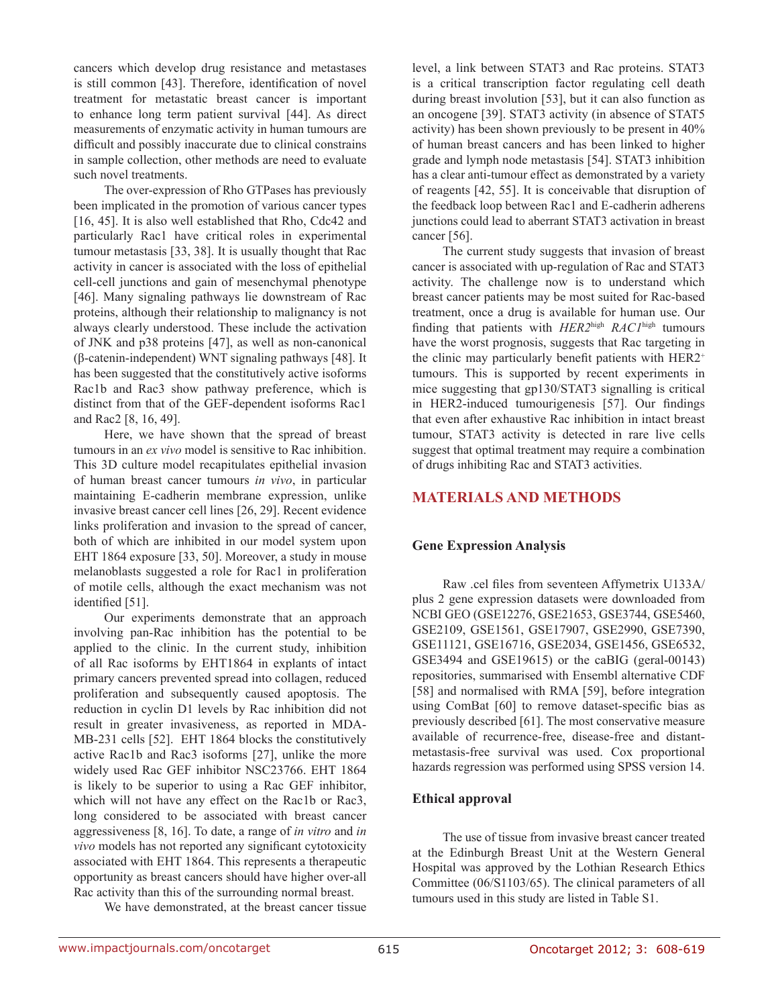cancers which develop drug resistance and metastases is still common [43]. Therefore, identification of novel treatment for metastatic breast cancer is important to enhance long term patient survival [44]. As direct measurements of enzymatic activity in human tumours are difficult and possibly inaccurate due to clinical constrains in sample collection, other methods are need to evaluate such novel treatments.

The over-expression of Rho GTPases has previously been implicated in the promotion of various cancer types [16, 45]. It is also well established that Rho, Cdc42 and particularly Rac1 have critical roles in experimental tumour metastasis [33, 38]. It is usually thought that Rac activity in cancer is associated with the loss of epithelial cell-cell junctions and gain of mesenchymal phenotype [46]. Many signaling pathways lie downstream of Rac proteins, although their relationship to malignancy is not always clearly understood. These include the activation of JNK and p38 proteins [47], as well as non-canonical (β-catenin-independent) WNT signaling pathways [48]. It has been suggested that the constitutively active isoforms Rac1b and Rac3 show pathway preference, which is distinct from that of the GEF-dependent isoforms Rac1 and Rac2 [8, 16, 49].

Here, we have shown that the spread of breast tumours in an *ex vivo* model is sensitive to Rac inhibition. This 3D culture model recapitulates epithelial invasion of human breast cancer tumours *in vivo*, in particular maintaining E-cadherin membrane expression, unlike invasive breast cancer cell lines [26, 29]. Recent evidence links proliferation and invasion to the spread of cancer, both of which are inhibited in our model system upon EHT 1864 exposure [33, 50]. Moreover, a study in mouse melanoblasts suggested a role for Rac1 in proliferation of motile cells, although the exact mechanism was not identified [51].

Our experiments demonstrate that an approach involving pan-Rac inhibition has the potential to be applied to the clinic. In the current study, inhibition of all Rac isoforms by EHT1864 in explants of intact primary cancers prevented spread into collagen, reduced proliferation and subsequently caused apoptosis. The reduction in cyclin D1 levels by Rac inhibition did not result in greater invasiveness, as reported in MDA-MB-231 cells [52]. EHT 1864 blocks the constitutively active Rac1b and Rac3 isoforms [27], unlike the more widely used Rac GEF inhibitor NSC23766. EHT 1864 is likely to be superior to using a Rac GEF inhibitor, which will not have any effect on the Rac1b or Rac3, long considered to be associated with breast cancer aggressiveness [8, 16]. To date, a range of *in vitro* and *in vivo* models has not reported any significant cytotoxicity associated with EHT 1864. This represents a therapeutic opportunity as breast cancers should have higher over-all Rac activity than this of the surrounding normal breast.

We have demonstrated, at the breast cancer tissue

level, a link between STAT3 and Rac proteins. STAT3 is a critical transcription factor regulating cell death during breast involution [53], but it can also function as an oncogene [39]. STAT3 activity (in absence of STAT5 activity) has been shown previously to be present in 40% of human breast cancers and has been linked to higher grade and lymph node metastasis [54]. STAT3 inhibition has a clear anti-tumour effect as demonstrated by a variety of reagents [42, 55]. It is conceivable that disruption of the feedback loop between Rac1 and E-cadherin adherens junctions could lead to aberrant STAT3 activation in breast cancer [56].

The current study suggests that invasion of breast cancer is associated with up-regulation of Rac and STAT3 activity. The challenge now is to understand which breast cancer patients may be most suited for Rac-based treatment, once a drug is available for human use. Our finding that patients with *HER2*high *RAC1*high tumours have the worst prognosis, suggests that Rac targeting in the clinic may particularly benefit patients with HER2<sup>+</sup> tumours. This is supported by recent experiments in mice suggesting that gp130/STAT3 signalling is critical in HER2-induced tumourigenesis [57]. Our findings that even after exhaustive Rac inhibition in intact breast tumour, STAT3 activity is detected in rare live cells suggest that optimal treatment may require a combination of drugs inhibiting Rac and STAT3 activities.

# **MATERIALS AND METHODS**

# **Gene Expression Analysis**

Raw .cel files from seventeen Affymetrix U133A/ plus 2 gene expression datasets were downloaded from NCBI GEO (GSE12276, GSE21653, GSE3744, GSE5460, GSE2109, GSE1561, GSE17907, GSE2990, GSE7390, GSE11121, GSE16716, GSE2034, GSE1456, GSE6532, GSE3494 and GSE19615) or the caBIG (geral-00143) repositories, summarised with Ensembl alternative CDF [58] and normalised with RMA [59], before integration using ComBat [60] to remove dataset-specific bias as previously described [61]. The most conservative measure available of recurrence-free, disease-free and distantmetastasis-free survival was used. Cox proportional hazards regression was performed using SPSS version 14.

## **Ethical approval**

The use of tissue from invasive breast cancer treated at the Edinburgh Breast Unit at the Western General Hospital was approved by the Lothian Research Ethics Committee (06/S1103/65). The clinical parameters of all tumours used in this study are listed in Table S1.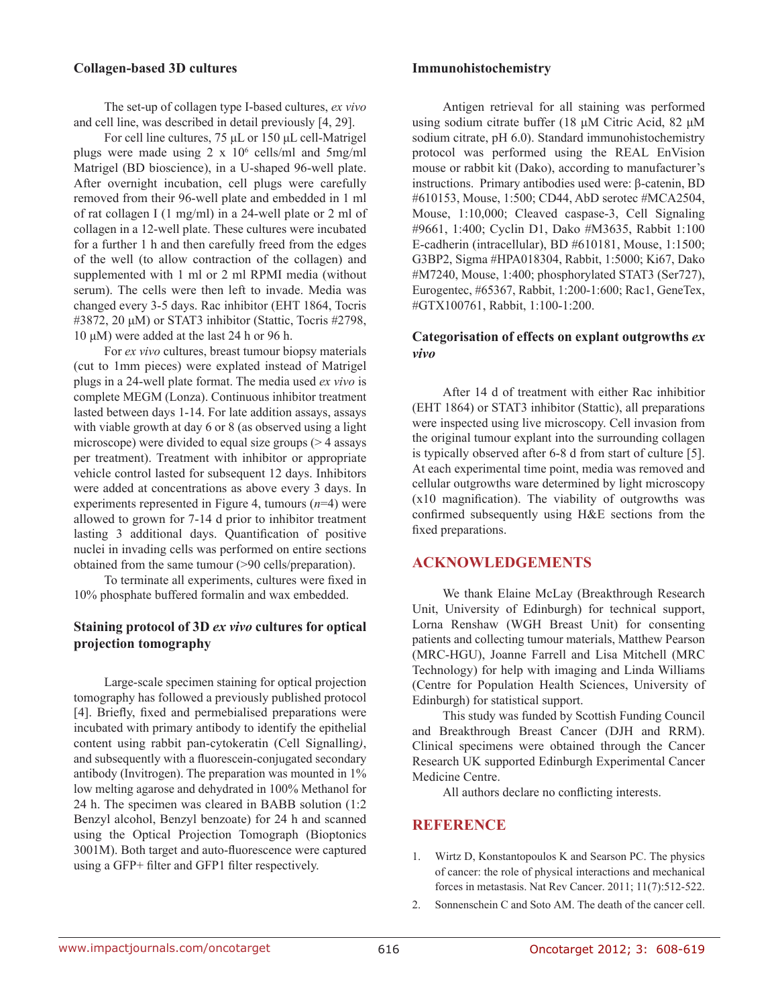### **Collagen-based 3D cultures**

The set-up of collagen type I-based cultures, *ex vivo* and cell line, was described in detail previously [4, 29].

For cell line cultures, 75 μL or 150 μL cell-Matrigel plugs were made using  $2 \times 10^6$  cells/ml and 5mg/ml Matrigel (BD bioscience), in a U-shaped 96-well plate. After overnight incubation, cell plugs were carefully removed from their 96-well plate and embedded in 1 ml of rat collagen I (1 mg/ml) in a 24-well plate or 2 ml of collagen in a 12-well plate. These cultures were incubated for a further 1 h and then carefully freed from the edges of the well (to allow contraction of the collagen) and supplemented with 1 ml or 2 ml RPMI media (without serum). The cells were then left to invade. Media was changed every 3-5 days. Rac inhibitor (EHT 1864, Tocris #3872, 20 μM) or STAT3 inhibitor (Stattic, Tocris #2798, 10 μM) were added at the last 24 h or 96 h.

For *ex vivo* cultures, breast tumour biopsy materials (cut to 1mm pieces) were explated instead of Matrigel plugs in a 24-well plate format. The media used *ex vivo* is complete MEGM (Lonza). Continuous inhibitor treatment lasted between days 1-14. For late addition assays, assays with viable growth at day 6 or 8 (as observed using a light microscope) were divided to equal size groups  $($  > 4 assays per treatment). Treatment with inhibitor or appropriate vehicle control lasted for subsequent 12 days. Inhibitors were added at concentrations as above every 3 days. In experiments represented in Figure 4, tumours (*n*=4) were allowed to grown for 7-14 d prior to inhibitor treatment lasting 3 additional days. Quantification of positive nuclei in invading cells was performed on entire sections obtained from the same tumour (>90 cells/preparation).

To terminate all experiments, cultures were fixed in 10% phosphate buffered formalin and wax embedded.

# **Staining protocol of 3D** *ex vivo* **cultures for optical projection tomography**

Large-scale specimen staining for optical projection tomography has followed a previously published protocol [4]. Briefly, fixed and permebialised preparations were incubated with primary antibody to identify the epithelial content using rabbit pan-cytokeratin (Cell Signalling*)*, and subsequently with a fluorescein-conjugated secondary antibody (Invitrogen). The preparation was mounted in 1% low melting agarose and dehydrated in 100% Methanol for 24 h. The specimen was cleared in BABB solution (1:2 Benzyl alcohol, Benzyl benzoate) for 24 h and scanned using the Optical Projection Tomograph (Bioptonics 3001M). Both target and auto-fluorescence were captured using a GFP+ filter and GFP1 filter respectively.

### **Immunohistochemistry**

Antigen retrieval for all staining was performed using sodium citrate buffer (18 μM Citric Acid, 82 μM sodium citrate, pH 6.0). Standard immunohistochemistry protocol was performed using the REAL EnVision mouse or rabbit kit (Dako), according to manufacturer's instructions. Primary antibodies used were: β-catenin, BD #610153, Mouse, 1:500; CD44, AbD serotec #MCA2504, Mouse, 1:10,000; Cleaved caspase-3, Cell Signaling #9661, 1:400; Cyclin D1, Dako #M3635, Rabbit 1:100 E-cadherin (intracellular), BD #610181, Mouse, 1:1500; G3BP2, Sigma #HPA018304, Rabbit, 1:5000; Ki67, Dako #M7240, Mouse, 1:400; phosphorylated STAT3 (Ser727), Eurogentec, #65367, Rabbit, 1:200-1:600; Rac1, GeneTex, #GTX100761, Rabbit, 1:100-1:200.

### **Categorisation of effects on explant outgrowths** *ex vivo*

After 14 d of treatment with either Rac inhibitior (EHT 1864) or STAT3 inhibitor (Stattic), all preparations were inspected using live microscopy. Cell invasion from the original tumour explant into the surrounding collagen is typically observed after 6-8 d from start of culture [5]. At each experimental time point, media was removed and cellular outgrowths ware determined by light microscopy (x10 magnification). The viability of outgrowths was confirmed subsequently using H&E sections from the fixed preparations.

## **ACKNOWLEDGEMENTS**

We thank Elaine McLay (Breakthrough Research Unit, University of Edinburgh) for technical support, Lorna Renshaw (WGH Breast Unit) for consenting patients and collecting tumour materials, Matthew Pearson (MRC-HGU), Joanne Farrell and Lisa Mitchell (MRC Technology) for help with imaging and Linda Williams (Centre for Population Health Sciences, University of Edinburgh) for statistical support.

This study was funded by Scottish Funding Council and Breakthrough Breast Cancer (DJH and RRM). Clinical specimens were obtained through the Cancer Research UK supported Edinburgh Experimental Cancer Medicine Centre.

All authors declare no conflicting interests.

# **REFERENCE**

- 1. Wirtz D, Konstantopoulos K and Searson PC. The physics of cancer: the role of physical interactions and mechanical forces in metastasis. Nat Rev Cancer. 2011; 11(7):512-522.
- 2. Sonnenschein C and Soto AM. The death of the cancer cell.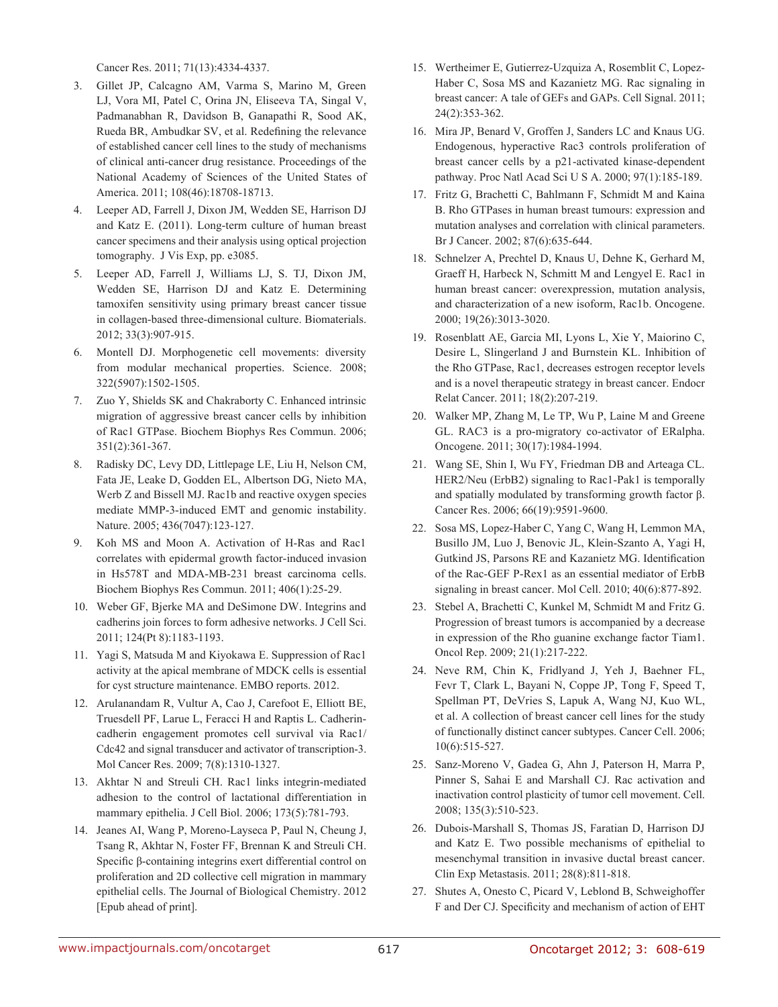Cancer Res. 2011; 71(13):4334-4337.

- 3. Gillet JP, Calcagno AM, Varma S, Marino M, Green LJ, Vora MI, Patel C, Orina JN, Eliseeva TA, Singal V, Padmanabhan R, Davidson B, Ganapathi R, Sood AK, Rueda BR, Ambudkar SV, et al. Redefining the relevance of established cancer cell lines to the study of mechanisms of clinical anti-cancer drug resistance. Proceedings of the National Academy of Sciences of the United States of America. 2011; 108(46):18708-18713.
- 4. Leeper AD, Farrell J, Dixon JM, Wedden SE, Harrison DJ and Katz E. (2011). Long-term culture of human breast cancer specimens and their analysis using optical projection tomography. J Vis Exp, pp. e3085.
- 5. Leeper AD, Farrell J, Williams LJ, S. TJ, Dixon JM, Wedden SE, Harrison DJ and Katz E. Determining tamoxifen sensitivity using primary breast cancer tissue in collagen-based three-dimensional culture. Biomaterials. 2012; 33(3):907-915.
- 6. Montell DJ. Morphogenetic cell movements: diversity from modular mechanical properties. Science. 2008; 322(5907):1502-1505.
- 7. Zuo Y, Shields SK and Chakraborty C. Enhanced intrinsic migration of aggressive breast cancer cells by inhibition of Rac1 GTPase. Biochem Biophys Res Commun. 2006; 351(2):361-367.
- 8. Radisky DC, Levy DD, Littlepage LE, Liu H, Nelson CM, Fata JE, Leake D, Godden EL, Albertson DG, Nieto MA, Werb Z and Bissell MJ. Rac1b and reactive oxygen species mediate MMP-3-induced EMT and genomic instability. Nature. 2005; 436(7047):123-127.
- 9. Koh MS and Moon A. Activation of H-Ras and Rac1 correlates with epidermal growth factor-induced invasion in Hs578T and MDA-MB-231 breast carcinoma cells. Biochem Biophys Res Commun. 2011; 406(1):25-29.
- 10. Weber GF, Bjerke MA and DeSimone DW. Integrins and cadherins join forces to form adhesive networks. J Cell Sci. 2011; 124(Pt 8):1183-1193.
- 11. Yagi S, Matsuda M and Kiyokawa E. Suppression of Rac1 activity at the apical membrane of MDCK cells is essential for cyst structure maintenance. EMBO reports. 2012.
- 12. Arulanandam R, Vultur A, Cao J, Carefoot E, Elliott BE, Truesdell PF, Larue L, Feracci H and Raptis L. Cadherincadherin engagement promotes cell survival via Rac1/ Cdc42 and signal transducer and activator of transcription-3. Mol Cancer Res. 2009; 7(8):1310-1327.
- 13. Akhtar N and Streuli CH. Rac1 links integrin-mediated adhesion to the control of lactational differentiation in mammary epithelia. J Cell Biol. 2006; 173(5):781-793.
- 14. Jeanes AI, Wang P, Moreno-Layseca P, Paul N, Cheung J, Tsang R, Akhtar N, Foster FF, Brennan K and Streuli CH. Specific β-containing integrins exert differential control on proliferation and 2D collective cell migration in mammary epithelial cells. The Journal of Biological Chemistry. 2012 [Epub ahead of print].
- 15. Wertheimer E, Gutierrez-Uzquiza A, Rosemblit C, Lopez-Haber C, Sosa MS and Kazanietz MG. Rac signaling in breast cancer: A tale of GEFs and GAPs. Cell Signal. 2011; 24(2):353-362.
- 16. Mira JP, Benard V, Groffen J, Sanders LC and Knaus UG. Endogenous, hyperactive Rac3 controls proliferation of breast cancer cells by a p21-activated kinase-dependent pathway. Proc Natl Acad Sci U S A. 2000; 97(1):185-189.
- 17. Fritz G, Brachetti C, Bahlmann F, Schmidt M and Kaina B. Rho GTPases in human breast tumours: expression and mutation analyses and correlation with clinical parameters. Br J Cancer. 2002; 87(6):635-644.
- 18. Schnelzer A, Prechtel D, Knaus U, Dehne K, Gerhard M, Graeff H, Harbeck N, Schmitt M and Lengyel E. Rac1 in human breast cancer: overexpression, mutation analysis, and characterization of a new isoform, Rac1b. Oncogene. 2000; 19(26):3013-3020.
- 19. Rosenblatt AE, Garcia MI, Lyons L, Xie Y, Maiorino C, Desire L, Slingerland J and Burnstein KL. Inhibition of the Rho GTPase, Rac1, decreases estrogen receptor levels and is a novel therapeutic strategy in breast cancer. Endocr Relat Cancer. 2011; 18(2):207-219.
- 20. Walker MP, Zhang M, Le TP, Wu P, Laine M and Greene GL. RAC3 is a pro-migratory co-activator of ERalpha. Oncogene. 2011; 30(17):1984-1994.
- 21. Wang SE, Shin I, Wu FY, Friedman DB and Arteaga CL. HER2/Neu (ErbB2) signaling to Rac1-Pak1 is temporally and spatially modulated by transforming growth factor β. Cancer Res. 2006; 66(19):9591-9600.
- 22. Sosa MS, Lopez-Haber C, Yang C, Wang H, Lemmon MA, Busillo JM, Luo J, Benovic JL, Klein-Szanto A, Yagi H, Gutkind JS, Parsons RE and Kazanietz MG. Identification of the Rac-GEF P-Rex1 as an essential mediator of ErbB signaling in breast cancer. Mol Cell. 2010; 40(6):877-892.
- 23. Stebel A, Brachetti C, Kunkel M, Schmidt M and Fritz G. Progression of breast tumors is accompanied by a decrease in expression of the Rho guanine exchange factor Tiam1. Oncol Rep. 2009; 21(1):217-222.
- 24. Neve RM, Chin K, Fridlyand J, Yeh J, Baehner FL, Fevr T, Clark L, Bayani N, Coppe JP, Tong F, Speed T, Spellman PT, DeVries S, Lapuk A, Wang NJ, Kuo WL, et al. A collection of breast cancer cell lines for the study of functionally distinct cancer subtypes. Cancer Cell. 2006; 10(6):515-527.
- 25. Sanz-Moreno V, Gadea G, Ahn J, Paterson H, Marra P, Pinner S, Sahai E and Marshall CJ. Rac activation and inactivation control plasticity of tumor cell movement. Cell. 2008; 135(3):510-523.
- 26. Dubois-Marshall S, Thomas JS, Faratian D, Harrison DJ and Katz E. Two possible mechanisms of epithelial to mesenchymal transition in invasive ductal breast cancer. Clin Exp Metastasis. 2011; 28(8):811-818.
- 27. Shutes A, Onesto C, Picard V, Leblond B, Schweighoffer F and Der CJ. Specificity and mechanism of action of EHT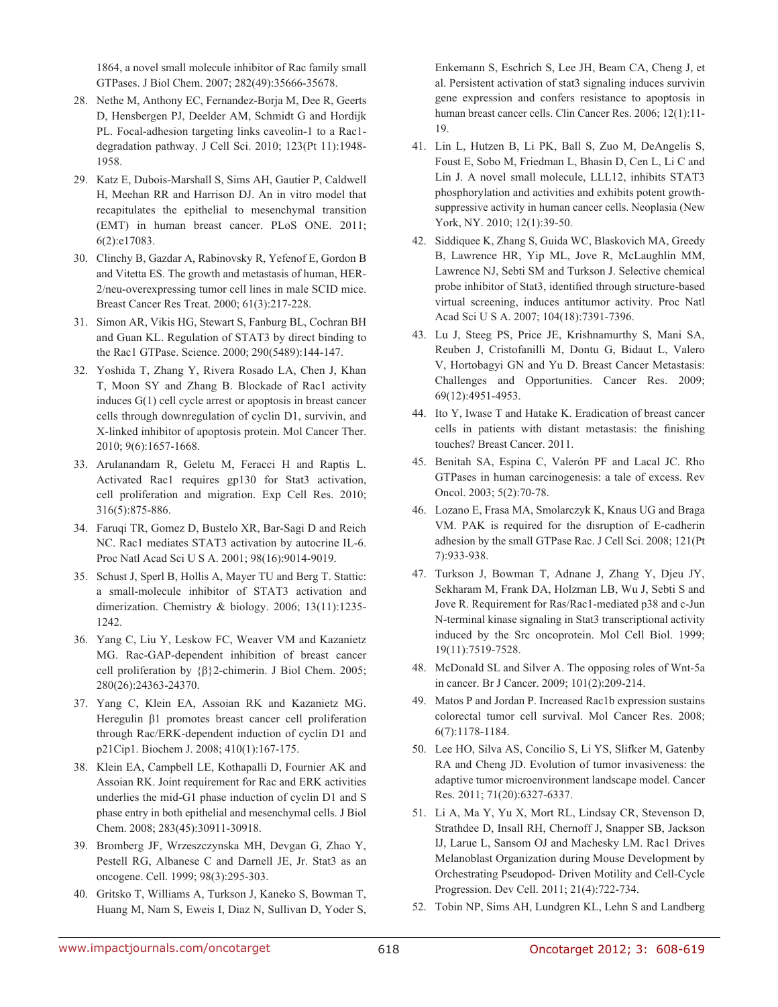1864, a novel small molecule inhibitor of Rac family small GTPases. J Biol Chem. 2007; 282(49):35666-35678.

- 28. Nethe M, Anthony EC, Fernandez-Borja M, Dee R, Geerts D, Hensbergen PJ, Deelder AM, Schmidt G and Hordijk PL. Focal-adhesion targeting links caveolin-1 to a Rac1 degradation pathway. J Cell Sci. 2010; 123(Pt 11):1948- 1958.
- 29. Katz E, Dubois-Marshall S, Sims AH, Gautier P, Caldwell H, Meehan RR and Harrison DJ. An in vitro model that recapitulates the epithelial to mesenchymal transition (EMT) in human breast cancer. PLoS ONE. 2011; 6(2):e17083.
- 30. Clinchy B, Gazdar A, Rabinovsky R, Yefenof E, Gordon B and Vitetta ES. The growth and metastasis of human, HER-2/neu-overexpressing tumor cell lines in male SCID mice. Breast Cancer Res Treat. 2000; 61(3):217-228.
- 31. Simon AR, Vikis HG, Stewart S, Fanburg BL, Cochran BH and Guan KL. Regulation of STAT3 by direct binding to the Rac1 GTPase. Science. 2000; 290(5489):144-147.
- 32. Yoshida T, Zhang Y, Rivera Rosado LA, Chen J, Khan T, Moon SY and Zhang B. Blockade of Rac1 activity induces G(1) cell cycle arrest or apoptosis in breast cancer cells through downregulation of cyclin D1, survivin, and X-linked inhibitor of apoptosis protein. Mol Cancer Ther. 2010; 9(6):1657-1668.
- 33. Arulanandam R, Geletu M, Feracci H and Raptis L. Activated Rac1 requires gp130 for Stat3 activation, cell proliferation and migration. Exp Cell Res. 2010; 316(5):875-886.
- 34. Faruqi TR, Gomez D, Bustelo XR, Bar-Sagi D and Reich NC. Rac1 mediates STAT3 activation by autocrine IL-6. Proc Natl Acad Sci U S A. 2001; 98(16):9014-9019.
- 35. Schust J, Sperl B, Hollis A, Mayer TU and Berg T. Stattic: a small-molecule inhibitor of STAT3 activation and dimerization. Chemistry & biology. 2006; 13(11):1235- 1242.
- 36. Yang C, Liu Y, Leskow FC, Weaver VM and Kazanietz MG. Rac-GAP-dependent inhibition of breast cancer cell proliferation by {β}2-chimerin. J Biol Chem. 2005; 280(26):24363-24370.
- 37. Yang C, Klein EA, Assoian RK and Kazanietz MG. Heregulin β1 promotes breast cancer cell proliferation through Rac/ERK-dependent induction of cyclin D1 and p21Cip1. Biochem J. 2008; 410(1):167-175.
- 38. Klein EA, Campbell LE, Kothapalli D, Fournier AK and Assoian RK. Joint requirement for Rac and ERK activities underlies the mid-G1 phase induction of cyclin D1 and S phase entry in both epithelial and mesenchymal cells. J Biol Chem. 2008; 283(45):30911-30918.
- 39. Bromberg JF, Wrzeszczynska MH, Devgan G, Zhao Y, Pestell RG, Albanese C and Darnell JE, Jr. Stat3 as an oncogene. Cell. 1999; 98(3):295-303.
- 40. Gritsko T, Williams A, Turkson J, Kaneko S, Bowman T, Huang M, Nam S, Eweis I, Diaz N, Sullivan D, Yoder S,

Enkemann S, Eschrich S, Lee JH, Beam CA, Cheng J, et al. Persistent activation of stat3 signaling induces survivin gene expression and confers resistance to apoptosis in human breast cancer cells. Clin Cancer Res. 2006; 12(1):11-19.

- 41. Lin L, Hutzen B, Li PK, Ball S, Zuo M, DeAngelis S, Foust E, Sobo M, Friedman L, Bhasin D, Cen L, Li C and Lin J. A novel small molecule, LLL12, inhibits STAT3 phosphorylation and activities and exhibits potent growthsuppressive activity in human cancer cells. Neoplasia (New York, NY. 2010; 12(1):39-50.
- 42. Siddiquee K, Zhang S, Guida WC, Blaskovich MA, Greedy B, Lawrence HR, Yip ML, Jove R, McLaughlin MM, Lawrence NJ, Sebti SM and Turkson J. Selective chemical probe inhibitor of Stat3, identified through structure-based virtual screening, induces antitumor activity. Proc Natl Acad Sci U S A. 2007; 104(18):7391-7396.
- 43. Lu J, Steeg PS, Price JE, Krishnamurthy S, Mani SA, Reuben J, Cristofanilli M, Dontu G, Bidaut L, Valero V, Hortobagyi GN and Yu D. Breast Cancer Metastasis: Challenges and Opportunities. Cancer Res. 2009; 69(12):4951-4953.
- 44. Ito Y, Iwase T and Hatake K. Eradication of breast cancer cells in patients with distant metastasis: the finishing touches? Breast Cancer. 2011.
- 45. Benitah SA, Espina C, Valerón PF and Lacal JC. Rho GTPases in human carcinogenesis: a tale of excess. Rev Oncol. 2003; 5(2):70-78.
- 46. Lozano E, Frasa MA, Smolarczyk K, Knaus UG and Braga VM. PAK is required for the disruption of E-cadherin adhesion by the small GTPase Rac. J Cell Sci. 2008; 121(Pt 7):933-938.
- 47. Turkson J, Bowman T, Adnane J, Zhang Y, Djeu JY, Sekharam M, Frank DA, Holzman LB, Wu J, Sebti S and Jove R. Requirement for Ras/Rac1-mediated p38 and c-Jun N-terminal kinase signaling in Stat3 transcriptional activity induced by the Src oncoprotein. Mol Cell Biol. 1999; 19(11):7519-7528.
- 48. McDonald SL and Silver A. The opposing roles of Wnt-5a in cancer. Br J Cancer. 2009; 101(2):209-214.
- 49. Matos P and Jordan P. Increased Rac1b expression sustains colorectal tumor cell survival. Mol Cancer Res. 2008; 6(7):1178-1184.
- 50. Lee HO, Silva AS, Concilio S, Li YS, Slifker M, Gatenby RA and Cheng JD. Evolution of tumor invasiveness: the adaptive tumor microenvironment landscape model. Cancer Res. 2011; 71(20):6327-6337.
- 51. Li A, Ma Y, Yu X, Mort RL, Lindsay CR, Stevenson D, Strathdee D, Insall RH, Chernoff J, Snapper SB, Jackson IJ, Larue L, Sansom OJ and Machesky LM. Rac1 Drives Melanoblast Organization during Mouse Development by Orchestrating Pseudopod- Driven Motility and Cell-Cycle Progression. Dev Cell. 2011; 21(4):722-734.
- 52. Tobin NP, Sims AH, Lundgren KL, Lehn S and Landberg